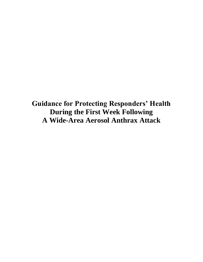**Guidance for Protecting Responders' Health During the First Week Following A Wide-Area Aerosol Anthrax Attack**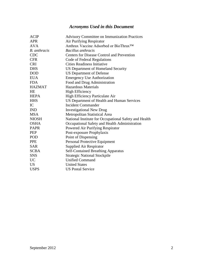# *Acronyms Used in this Document*

| <b>ACIP</b>         | <b>Advisory Committee on Immunization Practices</b>   |  |
|---------------------|-------------------------------------------------------|--|
| <b>APR</b>          | Air Purifying Respirator                              |  |
| <b>AVA</b>          | Anthrax Vaccine Adsorbed or BioThrax™                 |  |
| <b>B.</b> anthracis | Bacillus anthracis                                    |  |
| <b>CDC</b>          | <b>Centers for Disease Control and Prevention</b>     |  |
| <b>CFR</b>          | Code of Federal Regulations                           |  |
| <b>CRI</b>          | <b>Cities Readiness Initiative</b>                    |  |
| <b>DHS</b>          | <b>US Department of Homeland Security</b>             |  |
| <b>DOD</b>          | <b>US Department of Defense</b>                       |  |
| <b>EUA</b>          | <b>Emergency Use Authorization</b>                    |  |
| <b>FDA</b>          | Food and Drug Administration                          |  |
| <b>HAZMAT</b>       | <b>Hazardous Materials</b>                            |  |
| HE                  | <b>High Efficiency</b>                                |  |
| <b>HEPA</b>         | High Efficiency Particulate Air                       |  |
| <b>HHS</b>          | US Department of Health and Human Services            |  |
| IC                  | <b>Incident Commander</b>                             |  |
| <b>IND</b>          | <b>Investigational New Drug</b>                       |  |
| <b>MSA</b>          | Metropolitan Statistical Area                         |  |
| <b>NIOSH</b>        | National Institute for Occupational Safety and Health |  |
| <b>OSHA</b>         | Occupational Safety and Health Administration         |  |
| <b>PAPR</b>         | Powered Air Purifying Respirator                      |  |
| PEP                 | Post-exposure Prophylaxis                             |  |
| POD                 | Point of Dispensing                                   |  |
| <b>PPE</b>          | Personal Protective Equipment                         |  |
| <b>SAR</b>          | <b>Supplied Air Respirator</b>                        |  |
| <b>SCBA</b>         | <b>Self-Contained Breathing Apparatus</b>             |  |
| <b>SNS</b>          | <b>Strategic National Stockpile</b>                   |  |
| <b>UC</b>           | <b>Unified Command</b>                                |  |
| <b>US</b>           | <b>United States</b>                                  |  |
| <b>USPS</b>         | <b>US Postal Service</b>                              |  |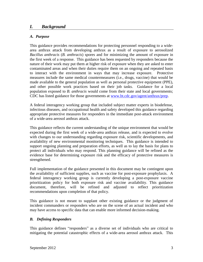## *I. Background*

#### *A. Purpose*

This guidance provides recommendations for protecting personnel responding to a widearea anthrax attack from developing anthrax as a result of exposure to aerosolized *Bacillus anthracis* (*B. anthracis*) spores and for minimizing the amount of exposure in the first week of a response. This guidance has been requested by responders because the nature of their work may put them at higher risk of exposure when they are asked to enter contaminated areas and when their duties require them on an ongoing and repeated basis to interact with the environment in ways that may increase exposure. Protective measures include the same medical countermeasures (i.e., drugs, vaccine) that would be made available to the general population as well as personal protective equipment (PPE), and other possible work practices based on their job tasks. Guidance for a local population exposed to *B. anthracis* would come from their state and local governments; CDC has listed guidance for those governments at [www.bt.cdc.gov/agent/anthrax/prep.](http://www.bt.cdc.gov/agent/anthrax/prep)

A federal interagency working group that included subject matter experts in biodefense, infectious diseases, and occupational health and safety developed this guidance regarding appropriate protective measures for responders in the immediate post-attack environment of a wide-area aerosol anthrax attack.

This guidance reflects the current understanding of the unique environment that would be expected during the first week of a wide-area anthrax release, and is expected to evolve with changes to our understanding regarding exposure risk, scientific developments, and availability of new environmental monitoring techniques. This guidance is intended to support ongoing planning and preparation efforts, as well as to lay the basis for plans to protect all individuals who may respond. This planning guidance will be refined as the evidence base for determining exposure risk and the efficacy of protective measures is strengthened.

Full implementation of the guidance presented in this document may be contingent upon the availability of sufficient supplies, such as vaccine for post-exposure prophylaxis. A federal interagency working group is currently developing a post-exposure vaccine prioritization policy for both exposure risk and vaccine availability. This guidance document, therefore, will be refined and adjusted to reflect prioritization recommendations upon completion of that policy.

This guidance is not meant to supplant other existing guidance or the judgment of incident commanders or responders who are on the scene of an actual incident and who may have access to specific data that can enable more informed decision-making.

## *B. Defining Responders*

This guidance defines "responders" as a diverse set of individuals who are critical to mitigating the potential catastrophic effects of a wide-area aerosol anthrax attack. This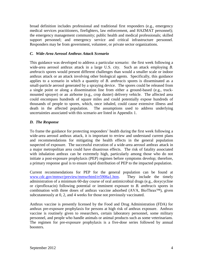broad definition includes professional and traditional first responders (e.g., emergency medical services practitioners, firefighters, law enforcement, and HAZMAT personnel); the emergency management community; public health and medical professionals; skilled support personnel; and emergency service and critical infrastructure personnel. Responders may be from government, volunteer, or private sector organizations.

## *C. Wide-Area Aerosol Anthrax Attack Scenario*

This guidance was developed to address a particular scenario: the first week following a wide-area aerosol anthrax attack in a large U.S. city. Such an attack employing *B. anthracis* spores would present different challenges than would a smaller scale or indoor anthrax attack or an attack involving other biological agents. Specifically, this guidance applies to a scenario in which a quantity of *B. anthracis* spores is disseminated as a small-particle aerosol generated by a spraying device. The spores could be released from a single point or along a dissemination line from either a ground-based (e.g., truckmounted sprayer) or an airborne (e.g., crop duster) delivery vehicle. The affected area could encompass hundreds of square miles and could potentially expose hundreds of thousands of people to spores, which, once inhaled, could cause extensive illness and death in the affected population. The assumptions used to address underlying uncertainties associated with this scenario are listed in Appendix 1.

## *D. The Response*

To frame the guidance for protecting responders' health during the first week following a wide-area aerosol anthrax attack, it is important to review and understand current plans and recommendations for mitigating the health effects in the general population suspected of exposure. The successful execution of a wide-area aerosol anthrax attack in a major metropolitan area could have disastrous effects. The risk of fatality associated with inhalation anthrax can be extremely high, particularly among those who do not initiate a post-exposure prophylaxis (PEP) regimen before symptoms develop; therefore, a primary response goal is to ensure rapid distribution of PEP to the impacted population.

Current recommendations for PEP for the general population can be found at [www.cdc.gov/mmwr/preview/mmwrhtml/rr5906a1.htm.](http://www.cdc.gov/mmwr/preview/mmwrhtml/rr5906a1.htm) They include the timely administration of a minimum 60-day course of oral antimicrobial drugs (e.g., doxycycline or ciprofloxacin) following potential or imminent exposure to *B. anthracis* spores in combination with three doses of anthrax vaccine adsorbed (AVA, BioThrax™), given subcutaneously at 0, 2, and 4 weeks for those not previously vaccinated.

Anthrax vaccine is presently licensed by the Food and Drug Administration (FDA) for anthrax pre-exposure prophylaxis for persons at high risk of anthrax exposure. Anthrax vaccine is routinely given to researchers, certain laboratory personnel, some military personnel, and people who handle animals or animal products such as some veterinarians. The regimen for pre-exposure prophylaxis is a five-dose series followed by annual boosters.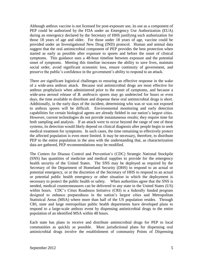Although anthrax vaccine is not licensed for post-exposure use, its use as a component of PEP could be authorized by the FDA under an Emergency Use Authorization (EUA) during an emergency declared by the Secretary of HHS justifying such authorization for those 18 years of age and older. For those under 18 years of age, vaccine could be provided under an Investigational New Drug (IND) protocol. Human and animal data suggest that the oral antimicrobial component of PEP provides the best protection when started as early as possible after exposure to spores and before the onset of clinical symptoms. This guidance uses a 48-hour timeline between exposure and the potential onset of symptoms. Meeting this timeline increases the ability to save lives, maintain social order, avoid significant economic loss, ensure continuity of government, and preserve the public's confidence in the government's ability to respond to an attack.

There are significant logistical challenges to ensuring an effective response in the wake of a wide-area anthrax attack. Because oral antimicrobial drugs are most effective for anthrax prophylaxis when administered prior to the onset of symptoms, and because a wide-area aerosol release of *B. anthracis* spores may go undetected for hours or even days, the time available to distribute and dispense these oral antimicrobial drugs is short. Additionally, in the early days of the incident, determining who was or was not exposed to anthrax spores will be difficult. Environmental monitoring and early detection capabilities for certain biological agents are already fielded in our nation's largest cities. However, current technologies do not provide instantaneous results; they require time for both sampling and analysis. If an attack were to occur beyond the range of one of these systems, its detection would likely depend on clinical diagnosis after people begin to seek medical treatment for symptoms. In such cases, the time remaining to effectively protect the affected population is even more limited. It may be necessary, therefore, to distribute PEP to the entire population in the area with the understanding that, as characterization data are gathered, PEP recommendations may be modified.

The Centers for Disease Control and Prevention's (CDC) Strategic National Stockpile (SNS) has quantities of medicine and medical supplies to provide for the emergency health security of the United States. The SNS may be deployed as required by the Secretary of the Department of Homeland Security (DHS) to respond to an actual or potential emergency, or at the discretion of the Secretary of HHS to respond to an actual or potential public health emergency or other situation in which the deployment is necessary to protect the public health or safety. When authorities agree that the SNS is needed, medical countermeasures can be delivered to any state in the United States (US) within hours. CDC's Cities Readiness Initiative (CRI) is a federally funded program designed to enhance preparedness in the nation's largest cities and Metropolitan Statistical Areas (MSA) where more than half of the US population resides. Through CRI, state and large metropolitan public health departments have developed plans to respond to a large-scale anthrax event by dispensing antimicrobial drugs to the entire population of an identified MSA within 48 hours.

Each state has plans to receive and distribute antimicrobial drugs for PEP to local communities as quickly as possible. Most jurisdictional plans for dispensing oral antimicrobial drugs involve the establishment of community Points of Dispensing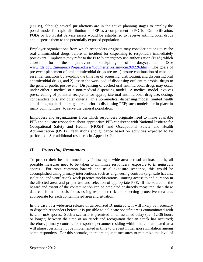(PODs), although several jurisdictions are in the active planning stages to employ the postal model for rapid distribution of PEP as a complement to PODs. On notification, PODs or US Postal Service assets would be established to receive antimicrobial drugs and dispense them to the potentially exposed population.

Employer organizations from which responders originate may consider actions to cache oral antimicrobial drugs before an incident for dispensing to responders immediately post-event. Employers may refer to the FDA's emergency use authorization (EUA) which allows for the pre-event stockpiling of doxycycline. (See [www.fda.gov/EmergencyPreparedness/Counterterrorism/ucm269226.htm\)](http://www.fda.gov/EmergencyPreparedness/Counterterrorism/ucm269226.htm) The goals of pre-event placement of oral antimicrobial drugs are to: 1) ensure continuation of missionessential functions by avoiding the time lag of acquiring, distributing, and dispensing oral antimicrobial drugs, and 2) lessen the workload of dispensing oral antimicrobial drugs to the general public post-event. Dispensing of cached oral antimicrobial drugs may occur under either a medical or a non-medical dispensing model. A medical model involves pre-screening of potential recipients for appropriate oral antimicrobial drug use, dosing, contraindications, and other criteria. In a non-medical dispensing model, limited health and demographic data are gathered prior to dispensing PEP; such models are in place in many communities to serve the general population.

Employers and organizations from which responders originate need to make available PPE and educate responders about appropriate PPE consistent with National Institute for Occupational Safety and Health (NIOSH) and Occupational Safety and Health Administration (OSHA) regulations and guidance based on activities expected to be performed. See additional resources in Appendix 2.

## *II. Protecting Responders*

To protect their health immediately following a wide-area aerosol anthrax attack, all possible measures need to be taken to minimize responders' exposure to *B. anthracis* spores. For most common hazards and usual exposure scenarios, this would be accomplished using primary interventions such as engineering controls (e.g., safe havens, isolation, and ventilation), work practice modifications, limiting access to and duration in the affected area, and proper use and selection of appropriate PPE. If the source of the hazard and extent of the contamination can be predicted or directly measured, then these data can form the basis for assessing responder risk and selecting protective measures appropriate for each contaminated area and situation.

In the case of a wide-area release of aerosolized *B. anthracis*, it will likely be necessary to dispatch responders before it is possible to delineate specific areas contaminated with *B. anthracis* spores. Such a scenario is premised on an assumed delay (i.e., 12-36 hours or longer) between the time of an attack and recognition that an attack has occurred; therefore, primary controls for response personnel residing within the contaminated area will almost certainly not be implemented in time to prevent initial spore inhalation among some responders. For this scenario, there are adjunct measures to minimize the level of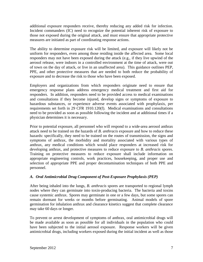additional exposure responders receive, thereby reducing any added risk for infection. Incident commanders (IC) need to recognize the potential inherent risk of exposure to those not exposed during the original attack, and must ensure that appropriate protective measures are initiated as part of coordinating response actions.

The ability to determine exposure risk will be limited, and exposure will likely not be uniform for responders, even among those residing inside the affected area. Some local responders may not have been exposed during the attack (e.g., if they live upwind of the aerosol release, were indoors in a controlled environment at the time of attack, were out of town on the day of attack, or live in an unaffected area). This guidance outlines PEP, PPE, and other protective measures that are needed to both reduce the probability of exposure and to decrease the risk to those who have been exposed.

Employers and organizations from which responders originate need to ensure that emergency response plans address emergency medical treatment and first aid for responders. In addition, responders need to be provided access to medical examinations and consultations if they become injured, develop signs or symptoms of exposure to hazardous substances, or experience adverse events associated with prophylaxis, per requirements set forth in 29 CFR 1910.120(f). Medical examinations and consultations need to be provided as soon as possible following the incident and at additional times if a physician determines it is necessary.

Prior to potential exposure, all personnel who will respond to a wide-area aerosol anthrax attack need to be trained on the hazards of *B. anthracis* exposure and how to reduce these hazards: specifically, they need to be trained on the routes of transmission, the signs and symptoms of anthrax, the morbidity and mortality associated with various types of anthrax, any medical conditions which would place responders at increased risk for developing anthrax, and protective measures to reduce exposure to *B. anthracis* spores. Training on protective measures to reduce exposure shall include information on appropriate engineering controls, work practices, housekeeping, and proper use and selection of appropriate PPE and proper decontamination techniques of both PPE and personnel.

## *A. Oral Antimicrobial Drug Component of Post-Exposure Prophylaxis (PEP)*

After being inhaled into the lungs, *B. anthracis* spores are transported to regional lymph nodes where they can germinate into toxin-producing bacteria. The bacteria and toxins cause systemic anthrax. Spores may germinate in one or a few days, but some spores can remain dormant for weeks or months before germinating. Animal models of spore germination for inhalation anthrax and clearance kinetics suggest that complete clearance may take 60 days or longer.

To prevent or arrest development of symptoms of anthrax, oral antimicrobial drugs will be made available as soon as possible for all individuals in the population who could have been subjected to the initial aerosol exposure. Response workers will be given antimicrobial drugs, including workers exposed during the initial incident as well as those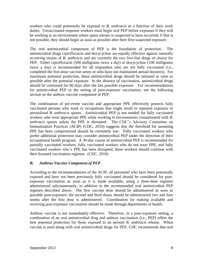workers who could potentially be exposed to *B. anthracis* as a function of their work duties. Unvaccinated response workers must begin oral PEP before exposure if they will be working in an environment where spore release is suspected to have occurred; if that is not possible, they should begin as soon as possible after their first suspected exposure.

The oral antimicrobial component of PEP is the foundation of protection. The antimicrobial drugs ciprofloxacin and doxycycline are equally effective against naturally occurring strains of *B. anthracis* and are currently the two first-line drugs of choice for PEP. Either ciprofloxacin (500 milligrams twice a day) or doxycycline (100 milligrams twice a day) is recommended for all responders who are not fully vaccinated (i.e., completed the five-dose vaccine series or who have not maintained annual boosters). For maximum potential protection, these antimicrobial drugs should be initiated as soon as possible after the potential exposure. In the absence of vaccination, antimicrobial drugs should be continued for 60 days after the last possible exposure. For recommendations for antimicrobial PEP in the setting of post-exposure vaccination, see the following section on the anthrax vaccine component of PEP.

The combination of pre-event vaccine and appropriate PPE effectively protects fully vaccinated persons who work in occupations that might result in repeated exposure to aerosolized *B. anthracis* spores. Antimicrobial PEP is not needed for fully vaccinated workers who wear appropriate PPE while working in environments contaminated with *B. anthracis* spores unless the PPE is disrupted. The CDC's Advisory Committee on Immunization Practices (ACIP) (CDC, 2010) suggests that the threshold for assuming PPE has been compromised should be extremely low. Fully vaccinated workers who prefer additional protection may consider antimicrobial PEP under the direction of their occupational health program. A 30-day course of antimicrobial PEP is recommended for partially vaccinated workers, fully vaccinated workers who do not wear PPE, and fully vaccinated workers who's PPE has been disrupted; these workers should continue with their licensed vaccination regimen. (CDC, 2010)

## *B. Anthrax Vaccine Component of PEP*

According to the recommendations of the ACIP, all personnel who have been potentially exposed and have not been previously fully vaccinated should be considered for postexposure vaccination as soon as it is made available, using a three-dose regimen administered subcutaneously, in addition to the recommended oral antimicrobial PEP regimen described above. The first vaccine dose should be administered as soon as possible post-exposure; the second and third doses should be administered two and four weeks after the first dose is administered. Coordination for making available and receiving post-exposure vaccination should be made through departments of health.

Anthrax vaccine is not immediately effective. Therefore, in a post-exposure setting, a combination of an oral antimicrobial drug and anthrax vaccination (i.e., PEP) offers the best potential protection for those exposed to an aerosol *B. anthracis* release. When vaccine is used along with oral antimicrobial drugs for PEP, CDC recommends that oral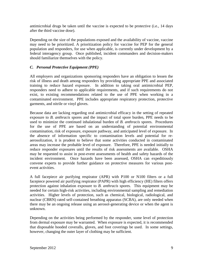antimicrobial drugs be taken until the vaccine is expected to be protective (i.e., 14 days after the third vaccine dose).

Depending on the size of the populations exposed and the availability of vaccine, vaccine may need to be prioritized. A prioritization policy for vaccine for PEP for the general population and responders, for use when applicable, is currently under development by a federal interagency group. Once published, incident commanders and decision-makers should familiarize themselves with the policy.

## *C. Personal Protective Equipment (PPE)*

All employers and organizations sponsoring responders have an obligation to lessen the risk of illness and death among responders by providing appropriate PPE and associated training to reduce hazard exposure. In addition to taking oral antimicrobial PEP, responders need to adhere to applicable requirements, and if such requirements do not exist, to existing recommendations related to the use of PPE when working in a contaminated environment. PPE includes appropriate respiratory protection, protective garments, and nitrile or vinyl gloves.

Because data are lacking regarding oral antimicrobial efficacy in the setting of repeated exposure to *B. anthracis* spores and the impact of total spore burden, PPE needs to be used to minimize the continued inhalational burden of *B. anthracis* spores. Procedures for the use of PPE are based on an understanding of potential environmental contamination, risk of exposure, exposure pathway, and anticipated level of exposure. In the absence of information specific to contamination levels and potential for reaerosolization, it is prudent to believe that some activities conducted in contaminated areas may increase the probable level of exposure. Therefore, PPE is needed initially to reduce responder exposures until the results of risk assessments are available. OSHA may be requested to assist in post-event assessments of health and safety hazards of the incident environment. Once hazards have been assessed, OSHA can expeditiously convene experts to provide further guidance on protective measures for various postevent activities.

A full facepiece air purifying respirator (APR) with P100 or N100 filters or a full facepiece powered air purifying respirator (PAPR) with high efficiency (HE) filters offers protection against inhalation exposure to *B. anthracis* spores. This equipment may be needed for certain high-risk activities, including environmental sampling and remediation activities. Higher levels of protection, such as chemical, biological, radiological, and nuclear (CBRN) rated self-contained breathing apparatus (SCBA), are only needed when there may be an ongoing release using an aerosol-generating device or when the agent is unknown.

Depending on the activities being performed by the responder, some level of protection from dermal exposure may be warranted. When exposure is expected, it is recommended that disposable hooded coveralls, gloves, and foot coverings be used. In some settings, however, changing the outer layer of clothing may be sufficient.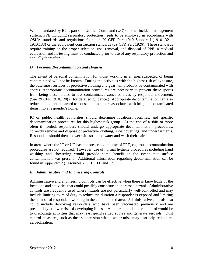When mandated by IC as part of a Unified Command (UC) or other incident management system, PPE including respiratory protection needs to be employed in accordance with OSHA standards and regulations found in 29 CFR Part 1910 Subpart I (1910.132— 1910.138) or the equivalent construction standards (29 CFR Part 1926). These standards require training on the proper selection, use, removal, and disposal of PPE; a medical evaluation and fit-testing must be conducted prior to use of any respiratory protection and annually thereafter.

## *D. Personal Decontamination and Hygiene*

The extent of personal contamination for those working in an area suspected of being contaminated will not be known. During the activities with the highest risk of exposure, the outermost surfaces of protective clothing and gear will probably be contaminated with spores. Appropriate decontamination procedures are necessary to prevent these spores from being disseminated to less contaminated zones or areas by responder movement. (See 29 CFR 1910.120(k) for detailed guidance.) Appropriate decontamination can also reduce the potential hazard to household members associated with bringing contaminated items into a responder's home.

IC or public health authorities should determine locations, facilities, and specific decontamination procedures for this highest risk group. At the end of a shift or more often if needed, responders should undergo appropriate decontamination procedures, correctly remove and dispose of protective clothing, shoe coverings, and undergarments. Responders should then shower with soap and water and wash their hair.

In areas where the IC or UC has not prescribed the use of PPE, rigorous decontamination procedures are not required. However, use of normal hygiene procedures including hand washing and showering would provide some benefit in the event that surface contamination was present. Additional information regarding decontamination can be found in Appendix 2 (Resources 7, 8, 10, 11, and 12).

## *E. Administrative and Engineering Controls*

Administrative and engineering controls can be effective when there is knowledge of the locations and activities that could possibly constitute an increased hazard. Administrative controls are frequently used where hazards are not particularly well-controlled and may include limiting tours of duty to reduce the duration a responder is exposed and limiting the number of responders working in the contaminated area. Administrative controls also could include deploying responders who have been vaccinated previously and are presumably at lower risk of developing illness. Another administrative control would be to discourage activities that may re-suspend settled spores and generate aerosols. Dust control measures, such as dust suppression with a water mist, may also help reduce reaerosolization.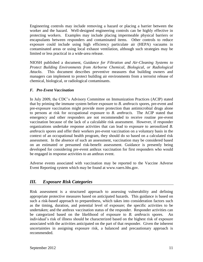Engineering controls may include removing a hazard or placing a barrier between the worker and the hazard. Well-designed engineering controls can be highly effective in protecting workers. Examples may include placing impermeable physical barriers or encapsulants between responders and contaminated items. Other controls to reduce exposure could include using high efficiency particulate air (HEPA) vacuums in contaminated areas or using local exhaust ventilation, although such strategies may be limited or less practical in a wide-area release.

NIOSH published a document, *Guidance for Filtration and Air-Cleaning Systems to Protect Building Environments from Airborne Chemical, Biological, or Radiological Attacks*. This document describes preventive measures that building owners and managers can implement to protect building air environments from a terrorist release of chemical, biological, or radiological contaminants.

## *F. Pre-Event Vaccination*

In July 2009, the CDC's Advisory Committee on Immunization Practices (ACIP) stated that by priming the immune system before exposure to *B. anthracis* spores, pre-event and pre-exposure vaccination might provide more protection than antimicrobial drugs alone to persons at risk for occupational exposure to *B. anthracis.* The ACIP stated that emergency and other responders are not recommended to receive routine pre-event vaccination because of the lack of a calculable risk assessment. However, if responder organizations undertake response activities that can lead to exposure to aerosolized *B. anthracis* spores and offer their workers pre-event vaccination on a voluntary basis in the context of an occupational health program, they should do so based on a calculated risk assessment. In the absence of such an assessment, vaccination may be considered based on an estimated or presumed risk-benefit assessment. Guidance is presently being developed for considering pre-event anthrax vaccination for first responders who would be engaged in response activities to an anthrax event.

Adverse events associated with vaccination may be reported to the Vaccine Adverse Event Reporting system which may be found at www.vaers.hhs.gov.

## *III. Exposure Risk Categories*

Risk assessment is a structured approach to assessing vulnerability and defining appropriate protective measures based on anticipated hazards. This guidance is based on such a risk-based approach to preparedness, which takes into consideration factors such as the timing, duration, and potential level of exposure; the specific activities to be undertaken; and the anthrax vaccination status of the responder.Responder activities can be categorized based on the likelihood of exposure to *B. anthracis* spores. An individual's risk of illness should be characterized based on the highest risk of exposure associated with the activities anticipated on the part of that responder. Given the inherent uncertainties in assigning exposure risk, a balanced and precautionary approach is recommended.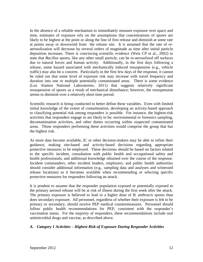In the absence of a reliable mechanism to immediately measure exposure over space and time, estimates of exposure rely on the assumptions that concentrations of spores are likely to be highest at the point or along the line of first release and diminish at some rate at points away or downwind from the release site. It is assumed that the rate of reaerosolization will decrease by several orders of magnitude as time after initial particle deposition increases. There is convincing scientific evidence (Weis CP et al., 2002) to state that *Bacillus* spores, like any other small particle, can be re-aerosolized off surfaces due to natural forces and human activity. Additionally, in the first days following a release, some hazard associated with mechanically induced resuspension (e.g., vehicle traffic) may also be a concern. Particularly in the first few days of the response, it cannot be ruled out that some level of exposure risk may increase with travel frequency and duration into one or multiple potentially contaminated areas. There is some evidence (Los Alamos National Laboratories, 2011) that suggests relatively significant resuspension of spores as a result of mechanical disturbance; however, the resuspension seems to diminish over a relatively short time period.

Scientific research is being conducted to better define these variables. Even with limited initial knowledge of the extent of contamination, developing an activity-based approach to classifying potential risk among responders is possible. For instance, the highest-risk activities that responders engage in are likely to be: environmental or forensics sampling, decontamination activities, and other duties occurring within suspected contaminated areas. Those responders performing these activities would comprise the group that has the highest risk.

As more data become available, IC or other decision-makers may be able to refine their guidance, making site-based and activity-based decisions regarding appropriate protective measures to be employed. These decisions should be based on factors related to the specific incident, consultation with public health and occupational safety and health professionals, and additional knowledge obtained over the course of the response. Incident commanders, other incident leaders, employers, and public health authorities should consider additional information (e.g., sampling data and analyses and witnessed release locations) as it becomes available when recommending or selecting specific protective measures for responders following an attack.

It is prudent to assume that the responder population exposed or potentially exposed to the primary aerosol release will be at risk of illness during the first week after the attack. The primary exposure is believed to lead to a higher dose of *B. anthracis* spores than does secondary exposure. All personnel, regardless of whether their exposure is felt to be primary or secondary, should receive PEP medical countermeasures. Personnel should follow public health recommendations for PEP, consistent with the responder's vaccination status. For the majority of responders, these recommendations include oral antimicrobial drugs and vaccine, as described above.

## *A. Category 1 Activities – Highest Risk of Exposure During Responder Activities*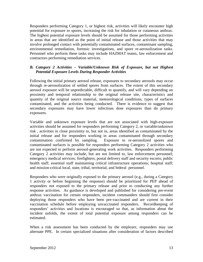Responders performing Category 1, or highest risk, activities will likely encounter high potential for exposure to spores, increasing the risk for inhalation or cutaneous anthrax. The highest potential exposure levels should be assumed for those performing activities in areas that are identified as the point of initial release and those activities that may involve prolonged contact with potentially contaminated surfaces, contaminant sampling, environmental remediation, forensic investigations, and spore re-aerosolization tasks. Personnel who perform these tasks may include HAZMAT teams, law enforcement and contractors performing remediation services.

## *B. Category 2 Activities – Variable/Unknown Risk of Exposure, but not Highest Potential Exposure Levels During Responder Activities*

Following the initial primary aerosol release, exposures to secondary aerosols may occur through re-aerosolization of settled spores from surfaces. The extent of this secondary aerosol exposure will be unpredictable, difficult to quantify, and will vary depending on proximity and temporal relationship to the original release site, characteristics and quantity of the original source material, meteorological conditions, types of surfaces contaminated, and the activities being conducted. There is evidence to suggest that secondary exposures may have lower infectious dose exposures than do primary exposures.

Variable and unknown exposure levels that are not associated with high-exposure activities should be assumed for responders performing Category 2, or variable/unknown risk , activities in close proximity to, but not in, areas identified as contaminated by the initial release and for responders working in areas contaminated through secondary contamination confirmed by sampling. Exposure to re-aerosolized spores and contaminated surfaces is possible for responders performing Category 2 activities who are not expected to perform aerosol-generating work activities. Responders performing Category 2 activities may include, but are not limited to, law enforcement personnel; emergency medical services; firefighters; postal delivery staff and security escorts; public health staff; essential staff maintaining critical infrastructure operations; hospital staff; and mission-critical local, state, tribal, territorial, and federal personnel.

Responders who were originally exposed to the primary aerosol (e.g., during a Category 1 activity or before beginning the response) should be prioritized for PEP ahead of responders not exposed to the primary release and prior to conducting any further response activities. As guidance is developed and published for considering pre-event anthrax vaccination for certain responders, incident commanders should first consider deploying those responders who have been pre-vaccinated and are current in their vaccination schedule before employing unvaccinated responders. Recordkeeping of responders' activities and locations is encouraged so that, as information about the incident unfolds, the extent of total potential exposure among responders can be estimated.

When a risk assessment has been conducted by the employer, responders may use alternate PPE. In certain specialized situations after consideration of factors described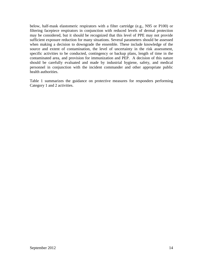below, half-mask elastomeric respirators with a filter cartridge (e.g., N95 or P100) or filtering facepiece respirators in conjunction with reduced levels of dermal protection may be considered, but it should be recognized that this level of PPE may not provide sufficient exposure reduction for many situations. Several parameters should be assessed when making a decision to downgrade the ensemble. These include knowledge of the source and extent of contamination, the level of uncertainty in the risk assessment, specific activities to be conducted, contingency or backup plans, length of time in the contaminated area, and provision for immunization and PEP. A decision of this nature should be carefully evaluated and made by industrial hygiene, safety, and medical personnel in conjunction with the incident commander and other appropriate public health authorities.

Table 1 summarizes the guidance on protective measures for responders performing Category 1 and 2 activities.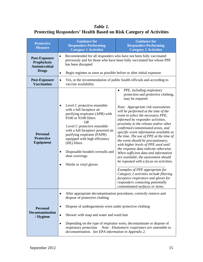## *Table 1.*

# **Protecting Responders' Health Based on Risk Category of Activities**

| <b>Protective</b><br><b>Measure</b>                                         | <b>Guidance for</b><br><b>Responders Performing</b><br><b>Category 1 Activities</b>                                                                                                                                                                                                                                                                                            | <b>Guidance for</b><br><b>Responders Performing</b><br><b>Category 2 Activities</b>                                                                                                                                                                                                                                                                                                                                                                                                                                                                                                                                                                                                                                                                                                                                                                               |  |
|-----------------------------------------------------------------------------|--------------------------------------------------------------------------------------------------------------------------------------------------------------------------------------------------------------------------------------------------------------------------------------------------------------------------------------------------------------------------------|-------------------------------------------------------------------------------------------------------------------------------------------------------------------------------------------------------------------------------------------------------------------------------------------------------------------------------------------------------------------------------------------------------------------------------------------------------------------------------------------------------------------------------------------------------------------------------------------------------------------------------------------------------------------------------------------------------------------------------------------------------------------------------------------------------------------------------------------------------------------|--|
| <b>Post-Exposure</b><br>Prophylaxis<br><b>Antimicrobial</b><br><b>Drugs</b> | Recommended for all responders who have not been fully vaccinated<br>previously and for those who have been fully vaccinated but whose PPE<br>has been disrupted<br>Begin regimen as soon as possible before or after initial exposure<br>Yes, at the recommendation of public health officials and according to<br>vaccine availability                                       |                                                                                                                                                                                                                                                                                                                                                                                                                                                                                                                                                                                                                                                                                                                                                                                                                                                                   |  |
| <b>Post-Exposure</b><br><b>Vaccination</b>                                  |                                                                                                                                                                                                                                                                                                                                                                                |                                                                                                                                                                                                                                                                                                                                                                                                                                                                                                                                                                                                                                                                                                                                                                                                                                                                   |  |
| <b>Personal</b><br><b>Protective</b><br><b>Equipment</b>                    | Level C protective ensemble<br>٠<br>with a full facepiece air<br>purifying respirator (APR) with<br>P100 or N100 filters<br><b>OR</b><br>Level C protective ensemble<br>with a full facepiece powered air<br>purifying respirator (PAPR)<br>equipped with high efficiency<br>(HE) filters<br>Disposable hooded coveralls and<br>٠<br>shoe coverings<br>Nitrile or vinyl gloves | PPE, including respiratory<br>protection and protective clothing,<br>may be required<br>Note: Appropriate risk assessments<br>will be performed at the time of the<br>event to select the necessary PPE,<br>informed by responder activities,<br>proximity to the release and/or other<br>confirmed contaminated areas, and<br>specific event information available at<br>the time. The use of PPE at the time of<br>the event should be precautionary,<br>with higher levels of PPE used until<br>the response data indicate otherwise.<br>When sufficient data and information<br>are available, the assessment should<br>be repeated with a focus on activities.<br>Examples of PPE appropriate for<br>Category 2 activities include filtering<br>facepiece respirators and gloves for<br>responders contacting potentially<br>contaminated surfaces or items. |  |
| <b>Personal</b><br><b>Decontamination</b><br>/ Hygiene                      | ٠<br>dispose of protective clothing<br>Dispose of undergarments worn under protective clothing<br>٠<br>Shower with soap and water and wash hair<br>$\bullet$<br>respiratory protection<br>decontamination. See EPA information in Appendix 2.                                                                                                                                  | After appropriate decontamination procedures, correctly remove and<br>Depending on the type of respirator worn, decontaminate or dispose of<br>Note: Elastomeric respirators are amenable to                                                                                                                                                                                                                                                                                                                                                                                                                                                                                                                                                                                                                                                                      |  |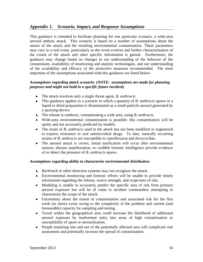## *Appendix 1. Scenario, Impact, and Response Assumptions*

This guidance is intended to facilitate planning for one particular scenario, a wide-area aerosol anthrax attack. This scenario is based on a number of assumptions about the nature of the attack and the resulting environmental contamination. These parameters may vary in a real event, particularly as the event evolves and further characterization of the extent of the attack and other specific information is gained. Furthermore, the guidance may change based on changes in our understanding of the behavior of the contaminant, availability of monitoring and analytic technologies, and our understanding of the availability and efficacy of the protective measures recommended. The most important of the assumptions associated with this guidance are listed below:

#### *Assumptions regarding attack scenario: (NOTE: assumptions are made for planning purposes and might not hold in a specific future incident)*

- The attack involves only a single threat agent, *B. anthracis*.
- This guidance applies to a scenario in which a quantity of *B. anthracis* spores in a liquid or dried preparation is disseminated as a small-particle aerosol generated by a spraying device.
- The release is outdoors, contaminating a wide area, using *B. anthracis.*
- Wide-area environmental contamination is possible; this contamination will be spotty and not accurately predicted by models.
- The strain of *B. anthracis* used in the attack has not been modified or engineered to express resistance to oral antimicrobial drugs. To date, naturally occurring strains of *B. anthracis* are susceptible to ciprofloxacin and doxycycline.
- The aerosol attack is covert; initial notification will occur after environmental sensors, disease manifestation, or credible forensic intelligence provide evidence of or detect the presence of *B. anthracis* spores.

#### *Assumptions regarding ability to characterize environmental distribution*:

- BioWatch or other detection systems may not recognize the attack.
- Environmental monitoring and forensic efforts will be unable to provide timely information regarding the release, source strength, and scope/area of risk.
- Modeling is unable to accurately predict the specific area of risk from primary aerosol exposure but will be of value to incident commanders attempting to characterize the scope of the attack.
- Uncertainty about the extent of contamination and associated risk for the first week (or more) exists owing to the complexity of the problem and current (and foreseeable) capacity for sampling and testing.
- Travel within the geographical area could increase the likelihood of additional aerosol exposure by inadvertent entry into areas of high contamination or susceptibility of spore re-aerosolization.
- People transiting into and out of the potentially affected area will complicate risk assessment and potentially increase the spread of contamination.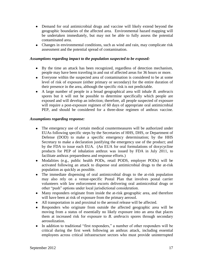- Demand for oral antimicrobial drugs and vaccine will likely extend beyond the geographic boundaries of the affected area. Environmental hazard mapping will be undertaken immediately, but may not be able to fully assess the potential contaminated area.
- Changes in environmental conditions, such as wind and rain, may complicate risk assessment and the potential spread of contamination.

#### *Assumptions regarding impact to the population suspected to be exposed:*

- By the time an attack has been recognized, regardless of detection mechanism, people may have been traveling in and out of affected areas for 36 hours or more.
- Everyone within the suspected area of contamination is considered to be at some level of risk of exposure (either primary or secondary) for the entire duration of their presence in the area, although the specific risk is not predictable.
- A large number of people in a broad geographical area will inhale *B. anthracis* spores but it will not be possible to determine specifically which people are exposed and will develop an infection; therefore, all people suspected of exposure will require a post-exposure regimen of 60 days of appropriate oral antimicrobial PEP, and should be considered for a three-dose regimen of anthrax vaccine.

#### *Assumptions regarding response:*

- The emergency use of certain medical countermeasures will be authorized under EUAs following specific steps by the Secretaries of HHS, DHS, or Department of Defense (DOD) to make a specific emergency determination; by the HHS Secretary to make a declaration justifying the emergency use of the product; and by the FDA to issue each EUA. (An EUA for oral formulations of doxycycline products for PEP of inhalation anthrax was issued by FDA in July 2011, to facilitate anthrax preparedness and response efforts.)
- Modalities (e.g., public health PODs, retail PODS, employer PODs) will be activated following an attack to dispense oral antimicrobial drugs to the at-risk population as quickly as possible.
- The immediate dispensing of oral antimicrobial drugs to the at-risk population may also rely on a venue-specific Postal Plan that involves postal carrier volunteers with law enforcement escorts delivering oral antimicrobial drugs or other "push" options under local jurisdictional consideration.
- Many responders originate from inside the at-risk geographic area, and therefore will have been at risk of exposure from the primary aerosol.
- All transportation in and proximal to the aerosol release will be affected.
- Responders who originate from outside the affected geographic area will be moving from a status of essentially no likely exposure into an area that places them at increased risk for exposure to *B. anthracis* spores through secondary aerosolization.
- In addition to traditional "first responders," a number of other responders will be critical during the first week following an anthrax attack, including essential employees across critical infrastructure sectors who must provide uninterrupted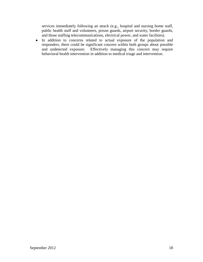services immediately following an attack (e.g., hospital and nursing home staff, public health staff and volunteers, prison guards, airport security, border guards, and those staffing telecommunications, electrical power, and water facilities).

In addition to concerns related to actual exposure of the population and responders, there could be significant concern within both groups about possible and undetected exposure. Effectively managing this concern may require behavioral health intervention in addition to medical triage and intervention.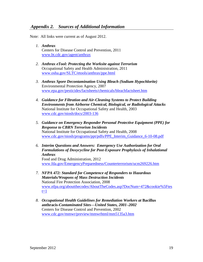Note: All links were current as of August 2012.

- *1. Anthrax* Centers for Disease Control and Prevention, 2011 [www.bt.cdc.gov/agent/anthrax](file:///C:/Documents%20and%20Settings/helen.stallings/Local%20Settings/Temporary%20Internet%20Files/Content.Outlook/WD0YF350/www.bt.cdc.gov/agent/anthrax)
- *2. Anthrax eTool: Protecting the Worksite against Terrorism* Occupational Safety and Health Administration, 2011 [www.osha.gov/SLTC/etools/anthrax/ppe.html](file:///C:/Documents%20and%20Settings/helen.stallings/Local%20Settings/Temporary%20Internet%20Files/Content.Outlook/WD0YF350/www.osha.gov/SLTC/etools/anthrax/ppe.html)
- *3. Anthrax Spore Decontamination Using Bleach (Sodium Hypochlorite)* Environmental Protection Agency, 2007 [www.epa.gov/pesticides/factsheets/chemicals/bleachfactsheet.htm](file:///C:/Documents%20and%20Settings/helen.stallings/Local%20Settings/Temporary%20Internet%20Files/Content.Outlook/WD0YF350/www.epa.gov/pesticides/factsheets/chemicals/bleachfactsheet.htm)
- *4. Guidance for Filtration and Air-Cleaning Systems to Protect Building Environments from Airborne Chemical, Biological, or Radiological Attacks* National Institute for Occupational Safety and Health, 2003 [www.cdc.gov/niosh/docs/2003-136](file:///C:/Documents%20and%20Settings/helen.stallings/Local%20Settings/Temporary%20Internet%20Files/Content.Outlook/WD0YF350/www.cdc.gov/niosh/docs/2003-136/)
- *5. Guidance on Emergency Responder Personal Protective Equipment (PPE) for Response to CBRN Terrorism Incidents* National Institute for Occupational Safety and Health, 2008 [www.cdc.gov/niosh/programs/ppt/pdfs/PPE\\_Interim\\_Guidance\\_6-10-08.pdf](http://www.cdc.gov/niosh/programs/ppt/pdfs/PPE_Interim_Guidance_6-10-08.pdf)
- *6. Interim Questions and Answers: Emergency Use Authorization for Oral Formulations of Doxycycline for Post-Exposure Prophylaxis of Inhalational Anthrax* Food and Drug Administration, 2012 [www.fda.gov/EmergencyPreparedness/Counterterrorism/ucm269226.htm](http://www.fda.gov/EmergencyPreparedness/Counterterrorism/ucm269226.htm)
- *7. NFPA 472: Standard for Competence of Responders to Hazardous Materials/Weapons of Mass Destruction Incidents* National Fire Protection Association, 2008 [www.nfpa.org/aboutthecodes/AboutTheCodes.asp?DocNum=472&cookie%5Ftes](file:///C:/Documents%20and%20Settings/helen.stallings/Local%20Settings/Temporary%20Internet%20Files/Content.Outlook/WD0YF350/www.nfpa.org/aboutthecodes/AboutTheCodes.asp%3fDocNum=472&cookie_test=1)  $t=1$
- *8. [Occupational Health Guidelines for Remediation Workers at](http://www.cdc.gov/mmwr/preview/mmwrhtml/mm5135a3.htm)* **Bacillus anthracis***[-Contaminated Sites—United States, 2001–2002](http://www.cdc.gov/mmwr/preview/mmwrhtml/mm5135a3.htm)* Centers for Disease Control and Prevention, 2002 [www.cdc.gov/mmwr/preview/mmwrhtml/mm5135a3.htm](file:///C:/Documents%20and%20Settings/helen.stallings/Local%20Settings/Temporary%20Internet%20Files/Content.Outlook/WD0YF350/www.cdc.gov/mmwr/preview/mmwrhtml/mm5135a3.htm)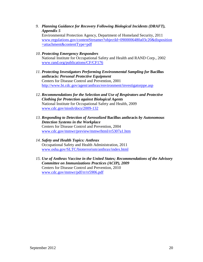*9. Planning Guidance for Recovery Following Biological Incidents (DRAFT), Appendix 5*

Environmental Protection Agency, Department of Homeland Security, 2011 [www.regulations.gov/contentStreamer?objectId=0900006480a03c20&disposition](file:///C:/Documents%20and%20Settings/helen.stallings/Local%20Settings/Temporary%20Internet%20Files/Content.Outlook/WD0YF350/www.regulations.gov/contentStreamer%3fobjectId=0900006480a03c20&disposition=attachment&contentType=pdf) [=attachment&contentType=pdf](file:///C:/Documents%20and%20Settings/helen.stallings/Local%20Settings/Temporary%20Internet%20Files/Content.Outlook/WD0YF350/www.regulations.gov/contentStreamer%3fobjectId=0900006480a03c20&disposition=attachment&contentType=pdf)

- *10. Protecting Emergency Responders* National Institute for Occupational Safety and Health and RAND Corp., 2002 [www.rand.org/publications/CF/CF176](file:///C:/Documents%20and%20Settings/helen.stallings/Local%20Settings/Temporary%20Internet%20Files/Content.Outlook/WD0YF350/www.rand.org/publications/CF/CF176)
- *11. [Protecting Investigators Performing Environmental Sampling for](http://www.bt.cdc.gov/agent/anthrax/environment/investigatorppe.asp)* **Bacillus anthracis***[: Personal Protective Equipment](http://www.bt.cdc.gov/agent/anthrax/environment/investigatorppe.asp)* Centers for Disease Control and Prevention, 2001 <http://www.bt.cdc.gov/agent/anthrax/environment/investigatorppe.asp>
- *12. Recommendations for the Selection and Use of Respirators and Protective Clothing for Protection against Biological Agents* National Institute for Occupational Safety and Health, 2009 [www.cdc.gov/niosh/docs/2009-132](file:///C:/Documents%20and%20Settings/helen.stallings/Local%20Settings/Temporary%20Internet%20Files/Content.Outlook/WD0YF350/www.cdc.gov/niosh/docs/2009-132/)
- *13. [Responding to Detection of Aerosolized](http://www.cdc.gov/mmwr/preview/mmwrhtml/mm5135a3.htm)* **Bacillus anthracis** *by Autonomous [Detection Systems in the Workplace](http://www.cdc.gov/mmwr/preview/mmwrhtml/mm5135a3.htm)* Centers for Disease Control and Prevention, 2004 [www.cdc.gov/mmwr/preview/mmwrhtml/rr5307a1.htm](file:///C:/Documents%20and%20Settings/helen.stallings/Local%20Settings/Temporary%20Internet%20Files/Content.Outlook/WD0YF350/www.cdc.gov/mmwr/preview/mmwrhtml/rr5307a1.htm)
- *14. Safety and Health Topics: Anthrax* Occupational Safety and Health Administration, 2011 [www.osha.gov/SLTC/bioterrorism/anthrax/index.html](file:///C:/Documents%20and%20Settings/helen.stallings/Local%20Settings/Temporary%20Internet%20Files/Content.Outlook/WD0YF350/www.osha.gov/SLTC/bioterrorism/anthrax/index.html)
- *15. Use of Anthrax Vaccine in the United States; Recommendations of the Advisory Committee on Immunizations Practices (ACIP), 2009* Centers for Disease Control and Prevention, 2010 [www.cdc.gov/mmwr/pdf/rr/rr5906.pdf](http://www.cdc.gov/mmwr/pdf/rr/rr5906.pdf)